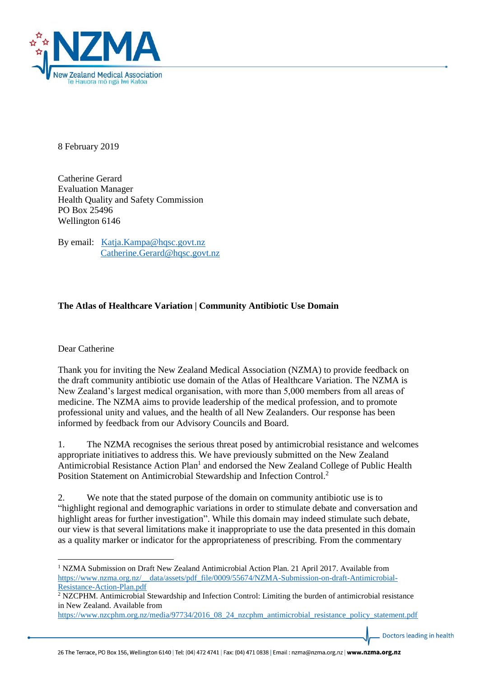

8 February 2019

Catherine Gerard Evaluation Manager Health Quality and Safety Commission PO Box 25496 Wellington 6146

By email: [Katja.Kampa@hqsc.govt.nz](mailto:Katja.Kampa@hqsc.govt.nz) [Catherine.Gerard@hqsc.govt.nz](mailto:Catherine.Gerard@hqsc.govt.nz)

## **The Atlas of Healthcare Variation | Community Antibiotic Use Domain**

## Dear Catherine

**.** 

Thank you for inviting the New Zealand Medical Association (NZMA) to provide feedback on the draft community antibiotic use domain of the Atlas of Healthcare Variation. The NZMA is New Zealand's largest medical organisation, with more than 5,000 members from all areas of medicine. The NZMA aims to provide leadership of the medical profession, and to promote professional unity and values, and the health of all New Zealanders. Our response has been informed by feedback from our Advisory Councils and Board.

1. The NZMA recognises the serious threat posed by antimicrobial resistance and welcomes appropriate initiatives to address this. We have previously submitted on the New Zealand Antimicrobial Resistance Action Plan<sup>1</sup> and endorsed the New Zealand College of Public Health Position Statement on Antimicrobial Stewardship and Infection Control.<sup>2</sup>

2. We note that the stated purpose of the domain on community antibiotic use is to "highlight regional and demographic variations in order to stimulate debate and conversation and highlight areas for further investigation". While this domain may indeed stimulate such debate, our view is that several limitations make it inappropriate to use the data presented in this domain as a quality marker or indicator for the appropriateness of prescribing. From the commentary

Doctors leading in health

<sup>&</sup>lt;sup>1</sup> NZMA Submission on Draft New Zealand Antimicrobial Action Plan. 21 April 2017. Available from [https://www.nzma.org.nz/\\_\\_data/assets/pdf\\_file/0009/55674/NZMA-Submission-on-draft-Antimicrobial-](https://www.nzma.org.nz/__data/assets/pdf_file/0009/55674/NZMA-Submission-on-draft-Antimicrobial-Resistance-Action-Plan.pdf)[Resistance-Action-Plan.pdf](https://www.nzma.org.nz/__data/assets/pdf_file/0009/55674/NZMA-Submission-on-draft-Antimicrobial-Resistance-Action-Plan.pdf)

<sup>2</sup> NZCPHM. Antimicrobial Stewardship and Infection Control: Limiting the burden of antimicrobial resistance in New Zealand. Available from

[https://www.nzcphm.org.nz/media/97734/2016\\_08\\_24\\_nzcphm\\_antimicrobial\\_resistance\\_policy\\_statement.pdf](https://www.nzcphm.org.nz/media/97734/2016_08_24_nzcphm_antimicrobial_resistance_policy_statement.pdf)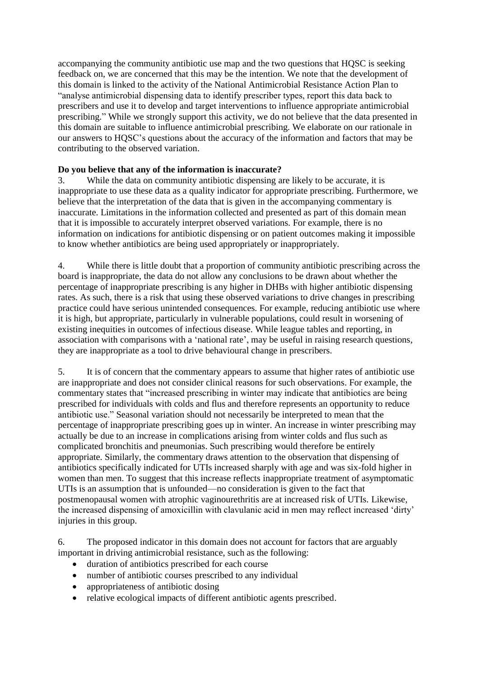accompanying the community antibiotic use map and the two questions that HQSC is seeking feedback on, we are concerned that this may be the intention. We note that the development of this domain is linked to the activity of the National Antimicrobial Resistance Action Plan to "analyse antimicrobial dispensing data to identify prescriber types, report this data back to prescribers and use it to develop and target interventions to influence appropriate antimicrobial prescribing." While we strongly support this activity, we do not believe that the data presented in this domain are suitable to influence antimicrobial prescribing. We elaborate on our rationale in our answers to HQSC's questions about the accuracy of the information and factors that may be contributing to the observed variation.

## **Do you believe that any of the information is inaccurate?**

3. While the data on community antibiotic dispensing are likely to be accurate, it is inappropriate to use these data as a quality indicator for appropriate prescribing. Furthermore, we believe that the interpretation of the data that is given in the accompanying commentary is inaccurate. Limitations in the information collected and presented as part of this domain mean that it is impossible to accurately interpret observed variations. For example, there is no information on indications for antibiotic dispensing or on patient outcomes making it impossible to know whether antibiotics are being used appropriately or inappropriately.

4. While there is little doubt that a proportion of community antibiotic prescribing across the board is inappropriate, the data do not allow any conclusions to be drawn about whether the percentage of inappropriate prescribing is any higher in DHBs with higher antibiotic dispensing rates. As such, there is a risk that using these observed variations to drive changes in prescribing practice could have serious unintended consequences. For example, reducing antibiotic use where it is high, but appropriate, particularly in vulnerable populations, could result in worsening of existing inequities in outcomes of infectious disease. While league tables and reporting, in association with comparisons with a 'national rate', may be useful in raising research questions, they are inappropriate as a tool to drive behavioural change in prescribers.

5. It is of concern that the commentary appears to assume that higher rates of antibiotic use are inappropriate and does not consider clinical reasons for such observations. For example, the commentary states that "increased prescribing in winter may indicate that antibiotics are being prescribed for individuals with colds and flus and therefore represents an opportunity to reduce antibiotic use." Seasonal variation should not necessarily be interpreted to mean that the percentage of inappropriate prescribing goes up in winter. An increase in winter prescribing may actually be due to an increase in complications arising from winter colds and flus such as complicated bronchitis and pneumonias. Such prescribing would therefore be entirely appropriate. Similarly, the commentary draws attention to the observation that dispensing of antibiotics specifically indicated for UTIs increased sharply with age and was six-fold higher in women than men. To suggest that this increase reflects inappropriate treatment of asymptomatic UTIs is an assumption that is unfounded—no consideration is given to the fact that postmenopausal women with atrophic vaginourethritis are at increased risk of UTIs. Likewise, the increased dispensing of amoxicillin with clavulanic acid in men may reflect increased 'dirty' injuries in this group.

6. The proposed indicator in this domain does not account for factors that are arguably important in driving antimicrobial resistance, such as the following:

- duration of antibiotics prescribed for each course
- number of antibiotic courses prescribed to any individual
- appropriateness of antibiotic dosing
- relative ecological impacts of different antibiotic agents prescribed.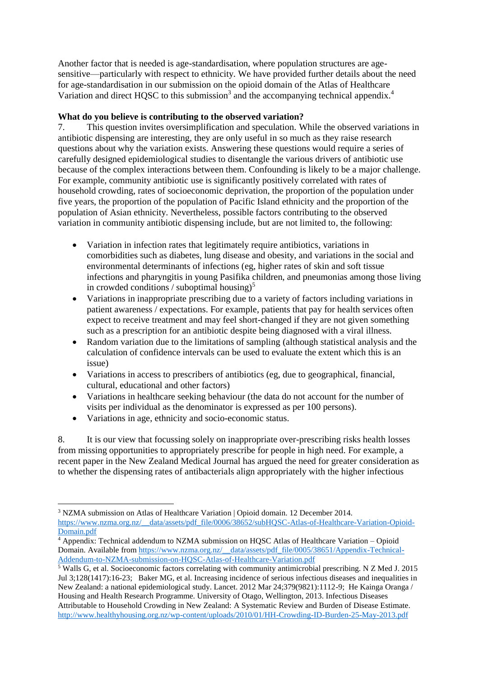Another factor that is needed is age-standardisation, where population structures are agesensitive—particularly with respect to ethnicity. We have provided further details about the need for age-standardisation in our submission on the opioid domain of the Atlas of Healthcare Variation and direct HQSC to this submission<sup>3</sup> and the accompanying technical appendix.<sup>4</sup>

## **What do you believe is contributing to the observed variation?**

7. This question invites oversimplification and speculation. While the observed variations in antibiotic dispensing are interesting, they are only useful in so much as they raise research questions about why the variation exists. Answering these questions would require a series of carefully designed epidemiological studies to disentangle the various drivers of antibiotic use because of the complex interactions between them. Confounding is likely to be a major challenge. For example, community antibiotic use is significantly positively correlated with rates of household crowding, rates of socioeconomic deprivation, the proportion of the population under five years, the proportion of the population of Pacific Island ethnicity and the proportion of the population of Asian ethnicity. Nevertheless, possible factors contributing to the observed variation in community antibiotic dispensing include, but are not limited to, the following:

- Variation in infection rates that legitimately require antibiotics, variations in comorbidities such as diabetes, lung disease and obesity, and variations in the social and environmental determinants of infections (eg, higher rates of skin and soft tissue infections and pharyngitis in young Pasifika children, and pneumonias among those living in crowded conditions / suboptimal housing) $<sup>5</sup>$ </sup>
- Variations in inappropriate prescribing due to a variety of factors including variations in patient awareness / expectations. For example, patients that pay for health services often expect to receive treatment and may feel short-changed if they are not given something such as a prescription for an antibiotic despite being diagnosed with a viral illness.
- Random variation due to the limitations of sampling (although statistical analysis and the calculation of confidence intervals can be used to evaluate the extent which this is an issue)
- Variations in access to prescribers of antibiotics (eg, due to geographical, financial, cultural, educational and other factors)
- Variations in healthcare seeking behaviour (the data do not account for the number of visits per individual as the denominator is expressed as per 100 persons).
- Variations in age, ethnicity and socio-economic status.

 $\overline{a}$ 

8. It is our view that focussing solely on inappropriate over-prescribing risks health losses from missing opportunities to appropriately prescribe for people in high need. For example, a recent paper in the New Zealand Medical Journal has argued the need for greater consideration as to whether the dispensing rates of antibacterials align appropriately with the higher infectious

<sup>3</sup> NZMA submission on Atlas of Healthcare Variation | Opioid domain. 12 December 2014.

[https://www.nzma.org.nz/\\_\\_data/assets/pdf\\_file/0006/38652/subHQSC-Atlas-of-Healthcare-Variation-Opioid-](https://www.nzma.org.nz/__data/assets/pdf_file/0006/38652/subHQSC-Atlas-of-Healthcare-Variation-Opioid-Domain.pdf)[Domain.pdf](https://www.nzma.org.nz/__data/assets/pdf_file/0006/38652/subHQSC-Atlas-of-Healthcare-Variation-Opioid-Domain.pdf)

<sup>&</sup>lt;sup>4</sup> Appendix: Technical addendum to NZMA submission on HQSC Atlas of Healthcare Variation – Opioid Domain. Available fro[m https://www.nzma.org.nz/\\_\\_data/assets/pdf\\_file/0005/38651/Appendix-Technical-](https://www.nzma.org.nz/__data/assets/pdf_file/0005/38651/Appendix-Technical-Addendum-to-NZMA-submission-on-HQSC-Atlas-of-Healthcare-Variation.pdf)[Addendum-to-NZMA-submission-on-HQSC-Atlas-of-Healthcare-Variation.pdf](https://www.nzma.org.nz/__data/assets/pdf_file/0005/38651/Appendix-Technical-Addendum-to-NZMA-submission-on-HQSC-Atlas-of-Healthcare-Variation.pdf)

<sup>&</sup>lt;sup>5</sup> Walls G, et al. Socioeconomic factors correlating with community antimicrobial prescribing. N Z Med J. 2015 Jul 3;128(1417):16-23; Baker MG, et al. Increasing incidence of serious infectious diseases and inequalities in New Zealand: a national epidemiological study. Lancet. 2012 Mar 24;379(9821):1112-9; He Kainga Oranga / Housing and Health Research Programme. University of Otago, Wellington, 2013. Infectious Diseases Attributable to Household Crowding in New Zealand: A Systematic Review and Burden of Disease Estimate. <http://www.healthyhousing.org.nz/wp-content/uploads/2010/01/HH-Crowding-ID-Burden-25-May-2013.pdf>